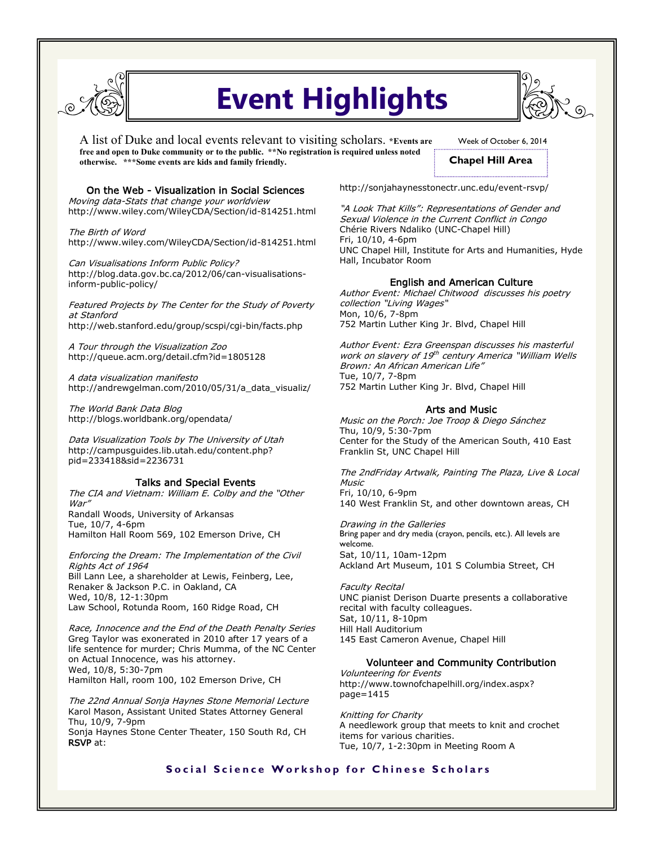

# **Event Highlights**

A list of Duke and local events relevant to visiting scholars. **\*Events are free and open to Duke community or to the public. \*\*No registration is required unless noted otherwise. \*\*\*Some events are kids and family friendly.** 

Week of October 6, 2014

## **Chapel Hill Area**

#### On the Web - Visualization in Social Sciences

Moving data-Stats that change your worldview http://www.wiley.com/WileyCDA/Section/id-814251.html

The Birth of Word http://www.wiley.com/WileyCDA/Section/id-814251.html

Can Visualisations Inform Public Policy? http://blog.data.gov.bc.ca/2012/06/can-visualisationsinform-public-policy/

Featured Projects by The Center for the Study of Poverty at Stanford http://web.stanford.edu/group/scspi/cgi-bin/facts.php

A Tour through the Visualization Zoo http://queue.acm.org/detail.cfm?id=1805128

A data visualization manifesto http://andrewgelman.com/2010/05/31/a\_data\_visualiz/

The World Bank Data Blog http://blogs.worldbank.org/opendata/

Data Visualization Tools by The University of Utah http://campusguides.lib.utah.edu/content.php? pid=233418&sid=2236731

#### Talks and Special Events

The CIA and Vietnam: William E. Colby and the "Other War" Randall Woods, University of Arkansas Tue, 10/7, 4-6pm Hamilton Hall Room 569, 102 Emerson Drive, CH

Enforcing the Dream: The Implementation of the Civil Rights Act of 1964 Bill Lann Lee, a shareholder at Lewis, Feinberg, Lee, Renaker & Jackson P.C. in Oakland, CA Wed, 10/8, 12-1:30pm Law School, Rotunda Room, 160 Ridge Road, CH

Race, Innocence and the End of the Death Penalty Series Greg Taylor was exonerated in 2010 after 17 years of a life sentence for murder; Chris Mumma, of the NC Center on Actual Innocence, was his attorney. Wed, 10/8, 5:30-7pm Hamilton Hall, room 100, 102 Emerson Drive, CH

The 22nd Annual Sonja Haynes Stone Memorial Lecture Karol Mason, Assistant United States Attorney General Thu, 10/9, 7-9pm

Sonja Haynes Stone Center Theater, 150 South Rd, CH RSVP at:

http://sonjahaynesstonectr.unc.edu/event-rsvp/

"A Look That Kills": Representations of Gender and Sexual Violence in the Current Conflict in Congo Chérie Rivers Ndaliko (UNC-Chapel Hill) Fri, 10/10, 4-6pm UNC Chapel Hill, Institute for Arts and Humanities, Hyde Hall, Incubator Room

#### English and American Culture

Author Event: Michael Chitwood discusses his poetry collection "Living Wages" Mon, 10/6, 7-8pm 752 Martin Luther King Jr. Blvd, Chapel Hill

Author Event: Ezra Greenspan discusses his masterful work on slavery of 19<sup>th</sup> century America "William Wells Brown: An African American Life" Tue, 10/7, 7-8pm 752 Martin Luther King Jr. Blvd, Chapel Hill

#### Arts and Music

Music on the Porch: Joe Troop & Diego Sánchez Thu, 10/9, 5:30-7pm Center for the Study of the American South, 410 East Franklin St, UNC Chapel Hill

The 2ndFriday Artwalk, Painting The Plaza, Live & Local Music Fri, 10/10, 6-9pm 140 West Franklin St, and other downtown areas, CH

Drawing in the Galleries Bring paper and dry media (crayon, pencils, etc.). All levels are welcome.

Sat, 10/11, 10am-12pm Ackland Art Museum, 101 S Columbia Street, CH

Faculty Recital UNC pianist Derison Duarte presents a collaborative recital with faculty colleagues. Sat, 10/11, 8-10pm Hill Hall Auditorium 145 East Cameron Avenue, Chapel Hill

#### Volunteer and Community Contribution

Volunteering for Events http://www.townofchapelhill.org/index.aspx? page=1415

Knitting for Charity A needlework group that meets to knit and crochet items for various charities. Tue, 10/7, 1-2:30pm in Meeting Room A

### **Social Science Workshop for Chinese Scholars**